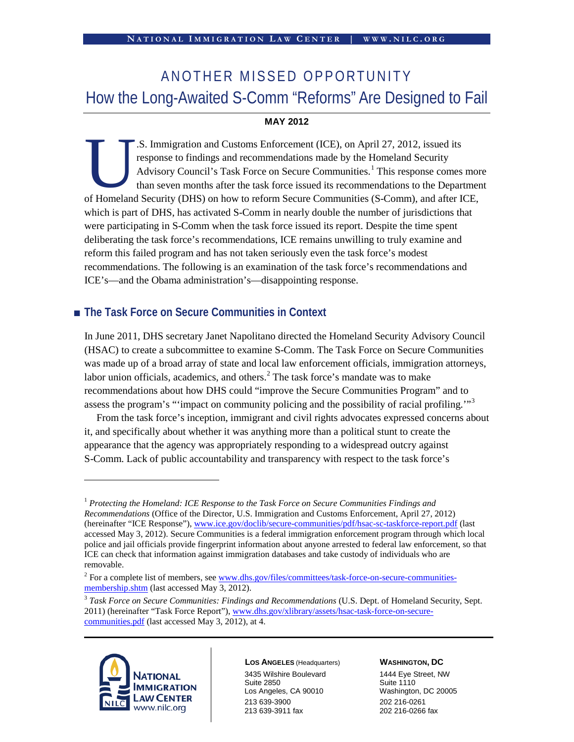# ANOTHER MISSED OPPORTUNITY How the Long-Awaited S-Comm "Reforms" Are Designed to Fail

## **MAY 2012**

.S. Immigration and Customs Enforcement (ICE), on April 27, 2012, issued its response to findings and recommendations made by the Homeland Security Advisory Council's Task Force on Secure Communities.<sup>[1](#page-0-0)</sup> This response comes more than seven months after the task force issued its recommendations to the Department S. Immigration and Customs Enforcement (ICE), on April 27, 2012, issued its<br>response to findings and recommendations made by the Homeland Security<br>Advisory Council's Task Force on Secure Communities.<sup>1</sup> This response comes which is part of DHS, has activated S-Comm in nearly double the number of jurisdictions that were participating in S-Comm when the task force issued its report. Despite the time spent deliberating the task force's recommendations, ICE remains unwilling to truly examine and reform this failed program and has not taken seriously even the task force's modest recommendations. The following is an examination of the task force's recommendations and ICE's—and the Obama administration's—disappointing response.

## **■ The Task Force on Secure Communities in Context**

In June 2011, DHS secretary Janet Napolitano directed the Homeland Security Advisory Council (HSAC) to create a subcommittee to examine S-Comm. The Task Force on Secure Communities was made up of a broad array of state and local law enforcement officials, immigration attorneys, labor union officials, academics, and others. $<sup>2</sup>$  $<sup>2</sup>$  $<sup>2</sup>$  The task force's mandate was to make</sup> recommendations about how DHS could "improve the Secure Communities Program" and to assess the program's "'impact on community policing and the possibility of racial profiling.'"<sup>[3](#page-0-2)</sup>

From the task force's inception, immigrant and civil rights advocates expressed concerns about it, and specifically about whether it was anything more than a political stunt to create the appearance that the agency was appropriately responding to a widespread outcry against S-Comm. Lack of public accountability and transparency with respect to the task force's

<span id="page-0-2"></span><sup>&</sup>lt;sup>3</sup> Task Force on Secure Communities: Findings and Recommendations (U.S. Dept. of Homeland Security, Sept. 2011) (hereinafter "Task Force Report"), [www.dhs.gov/xlibrary/assets/hsac-task-force-on-secure](http://www.dhs.gov/xlibrary/assets/hsac-task-force-on-secure-communities.pdf)[communities.pdf](http://www.dhs.gov/xlibrary/assets/hsac-task-force-on-secure-communities.pdf) (last accessed May 3, 2012), at 4.



 $\overline{a}$ 

**LOS ANGELES** (Headquarters) 3435 Wilshire Boulevard Suite 2850 Los Angeles, CA 90010 213 639-3900 213 639-3911 fax

**WASHINGTON, DC**

1444 Eye Street, NW Suite 1110 Washington, DC 20005 202 216-0261 202 216-0266 fax

<span id="page-0-0"></span><sup>1</sup> *Protecting the Homeland: ICE Response to the Task Force on Secure Communities Findings and Recommendations* (Office of the Director, U.S. Immigration and Customs Enforcement, April 27, 2012) (hereinafter "ICE Response"), [www.ice.gov/doclib/secure-communities/pdf/hsac-sc-taskforce-report.pdf](http://www.ice.gov/doclib/secure-communities/pdf/hsac-sc-taskforce-report.pdf) (last accessed May 3, 2012). Secure Communities is a federal immigration enforcement program through which local police and jail officials provide fingerprint information about anyone arrested to federal law enforcement, so that ICE can check that information against immigration databases and take custody of individuals who are removable.

<span id="page-0-1"></span> $2^2$  For a complete list of members, see [www.dhs.gov/files/committees/task-force-on-secure-communities](http://www.dhs.gov/files/committees/task-force-on-secure-communities-membership.shtm)[membership.shtm](http://www.dhs.gov/files/committees/task-force-on-secure-communities-membership.shtm) (last accessed May 3, 2012).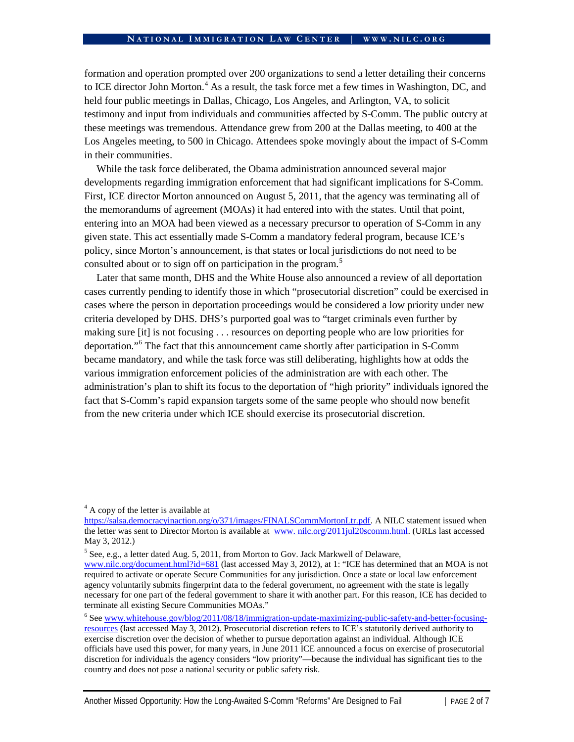### **N A T IONAL I MMIGRATION L AW C ENTER | WWW . NILC . ORG**

formation and operation prompted over 200 organizations to send a letter detailing their concerns to ICE director John Morton.<sup>[4](#page-1-0)</sup> As a result, the task force met a few times in Washington, DC, and held four public meetings in Dallas, Chicago, Los Angeles, and Arlington, VA, to solicit testimony and input from individuals and communities affected by S-Comm. The public outcry at these meetings was tremendous. Attendance grew from 200 at the Dallas meeting, to 400 at the Los Angeles meeting, to 500 in Chicago. Attendees spoke movingly about the impact of S-Comm in their communities.

While the task force deliberated, the Obama administration announced several major developments regarding immigration enforcement that had significant implications for S-Comm. First, ICE director Morton announced on August 5, 2011, that the agency was terminating all of the memorandums of agreement (MOAs) it had entered into with the states. Until that point, entering into an MOA had been viewed as a necessary precursor to operation of S-Comm in any given state. This act essentially made S-Comm a mandatory federal program, because ICE's policy, since Morton's announcement, is that states or local jurisdictions do not need to be consulted about or to sign off on participation in the program. [5](#page-1-1)

Later that same month, DHS and the White House also announced a review of all deportation cases currently pending to identify those in which "prosecutorial discretion" could be exercised in cases where the person in deportation proceedings would be considered a low priority under new criteria developed by DHS. DHS's purported goal was to "target criminals even further by making sure [it] is not focusing . . . resources on deporting people who are low priorities for deportation."[6](#page-1-2) The fact that this announcement came shortly after participation in S-Comm became mandatory, and while the task force was still deliberating, highlights how at odds the various immigration enforcement policies of the administration are with each other. The administration's plan to shift its focus to the deportation of "high priority" individuals ignored the fact that S-Comm's rapid expansion targets some of the same people who should now benefit from the new criteria under which ICE should exercise its prosecutorial discretion.

 $\overline{a}$ 

<span id="page-1-0"></span><sup>4</sup> A copy of the letter is available at

[https://salsa.democracyinaction.org/o/371/images/FINALSCommMortonLtr.pdf.](https://salsa.democracyinaction.org/o/371/images/FINALSCommMortonLtr.pdf) A NILC statement issued when the letter was sent to Director Morton is available at www. nilc.org/2011jul20scomm.html. (URLs last accessed May 3, 2012.)

<span id="page-1-1"></span> $5$  See, e.g., a letter dated Aug. 5, 2011, from Morton to Gov. Jack Markwell of Delaware,

[www.nilc.org/document.html?id=681](http://www.nilc.org/document.html?id=681) (last accessed May 3, 2012), at 1: "ICE has determined that an MOA is not required to activate or operate Secure Communities for any jurisdiction. Once a state or local law enforcement agency voluntarily submits fingerprint data to the federal government, no agreement with the state is legally necessary for one part of the federal government to share it with another part. For this reason, ICE has decided to terminate all existing Secure Communities MOAs."

<span id="page-1-2"></span><sup>&</sup>lt;sup>6</sup> Se[e www.whitehouse.gov/blog/2011/08/18/immigration-update-maximizing-public-safety-and-better-focusing](http://www.whitehouse.gov/blog/2011/08/18/immigration-update-maximizing-public-safety-and-better-focusing-resources)[resources](http://www.whitehouse.gov/blog/2011/08/18/immigration-update-maximizing-public-safety-and-better-focusing-resources) (last accessed May 3, 2012). Prosecutorial discretion refers to ICE's statutorily derived authority to exercise discretion over the decision of whether to pursue deportation against an individual. Although ICE officials have used this power, for many years, in June 2011 ICE announced a focus on exercise of prosecutorial discretion for individuals the agency considers "low priority"—because the individual has significant ties to the country and does not pose a national security or public safety risk.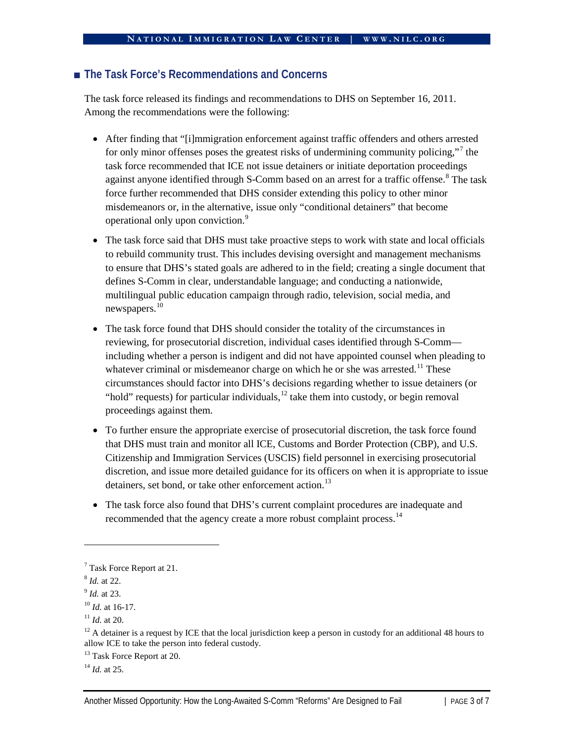# **■ The Task Force's Recommendations and Concerns**

The task force released its findings and recommendations to DHS on September 16, 2011. Among the recommendations were the following:

- After finding that "[i]mmigration enforcement against traffic offenders and others arrested for only minor offenses poses the greatest risks of undermining community policing,"<sup>[7](#page-2-0)</sup> the task force recommended that ICE not issue detainers or initiate deportation proceedings against anyone identified through S-Comm based on an arrest for a traffic offense.<sup>[8](#page-2-1)</sup> The task force further recommended that DHS consider extending this policy to other minor misdemeanors or, in the alternative, issue only "conditional detainers" that become operational only upon conviction.[9](#page-2-2)
- The task force said that DHS must take proactive steps to work with state and local officials to rebuild community trust. This includes devising oversight and management mechanisms to ensure that DHS's stated goals are adhered to in the field; creating a single document that defines S-Comm in clear, understandable language; and conducting a nationwide, multilingual public education campaign through radio, television, social media, and newspapers.[10](#page-2-3)
- The task force found that DHS should consider the totality of the circumstances in reviewing, for prosecutorial discretion, individual cases identified through S-Comm including whether a person is indigent and did not have appointed counsel when pleading to whatever criminal or misdemeanor charge on which he or she was arrested.<sup>[11](#page-2-4)</sup> These circumstances should factor into DHS's decisions regarding whether to issue detainers (or "hold" requests) for particular individuals, <sup>[12](#page-2-5)</sup> take them into custody, or begin removal proceedings against them.
- To further ensure the appropriate exercise of prosecutorial discretion, the task force found that DHS must train and monitor all ICE, Customs and Border Protection (CBP), and U.S. Citizenship and Immigration Services (USCIS) field personnel in exercising prosecutorial discretion, and issue more detailed guidance for its officers on when it is appropriate to issue detainers, set bond, or take other enforcement action.<sup>[13](#page-2-6)</sup>
- The task force also found that DHS's current complaint procedures are inadequate and recommended that the agency create a more robust complaint process.<sup>[14](#page-2-7)</sup>

 $\overline{a}$ 

<span id="page-2-7"></span><sup>14</sup> *Id.* at 25.

<span id="page-2-0"></span><sup>7</sup> Task Force Report at 21.

<span id="page-2-1"></span><sup>8</sup> *Id.* at 22.

<span id="page-2-2"></span><sup>9</sup> *Id.* at 23.

<span id="page-2-3"></span><sup>10</sup> *Id.* at 16-17.

<span id="page-2-4"></span><sup>11</sup> *Id.* at 20.

<span id="page-2-5"></span><sup>&</sup>lt;sup>12</sup> A detainer is a request by ICE that the local jurisdiction keep a person in custody for an additional 48 hours to allow ICE to take the person into federal custody.

<span id="page-2-6"></span><sup>&</sup>lt;sup>13</sup> Task Force Report at 20.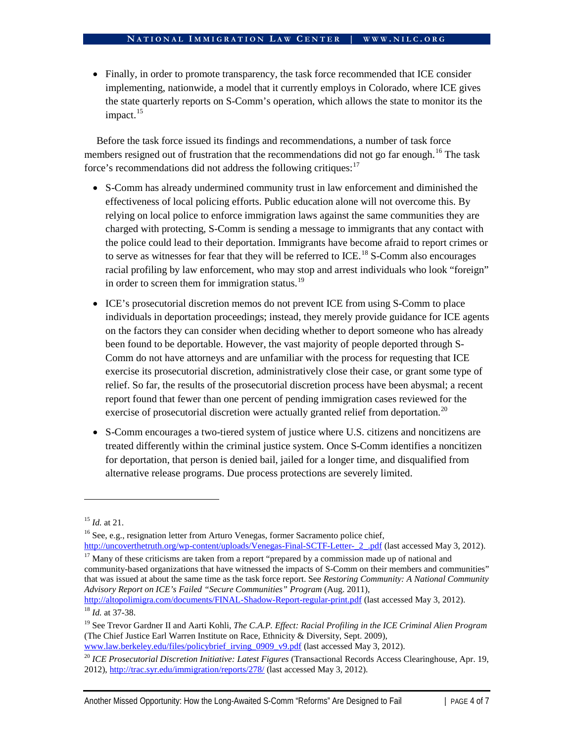• Finally, in order to promote transparency, the task force recommended that ICE consider implementing, nationwide, a model that it currently employs in Colorado, where ICE gives the state quarterly reports on S-Comm's operation, which allows the state to monitor its the impact.<sup>[15](#page-3-0)</sup>

Before the task force issued its findings and recommendations, a number of task force members resigned out of frustration that the recommendations did not go far enough.<sup>[16](#page-3-1)</sup> The task force's recommendations did not address the following critiques: $17$ 

- S-Comm has already undermined community trust in law enforcement and diminished the effectiveness of local policing efforts. Public education alone will not overcome this. By relying on local police to enforce immigration laws against the same communities they are charged with protecting, S-Comm is sending a message to immigrants that any contact with the police could lead to their deportation. Immigrants have become afraid to report crimes or to serve as witnesses for fear that they will be referred to ICE.<sup>[18](#page-3-3)</sup> S-Comm also encourages racial profiling by law enforcement, who may stop and arrest individuals who look "foreign" in order to screen them for immigration status. $^{19}$  $^{19}$  $^{19}$
- ICE's prosecutorial discretion memos do not prevent ICE from using S-Comm to place individuals in deportation proceedings; instead, they merely provide guidance for ICE agents on the factors they can consider when deciding whether to deport someone who has already been found to be deportable. However, the vast majority of people deported through S-Comm do not have attorneys and are unfamiliar with the process for requesting that ICE exercise its prosecutorial discretion, administratively close their case, or grant some type of relief. So far, the results of the prosecutorial discretion process have been abysmal; a recent report found that fewer than one percent of pending immigration cases reviewed for the exercise of prosecutorial discretion were actually granted relief from deportation.<sup>[20](#page-3-5)</sup>
- S-Comm encourages a two-tiered system of justice where U.S. citizens and noncitizens are treated differently within the criminal justice system. Once S-Comm identifies a noncitizen for deportation, that person is denied bail, jailed for a longer time, and disqualified from alternative release programs. Due process protections are severely limited.

 $\overline{a}$ 

<span id="page-3-2"></span> $17$  Many of these criticisms are taken from a report "prepared by a commission made up of national and community-based organizations that have witnessed the impacts of S-Comm on their members and communities" that was issued at about the same time as the task force report. See *Restoring Community: A National Community Advisory Report on ICE's Failed "Secure Communities" Program* (Aug. 2011),

<span id="page-3-0"></span><sup>15</sup> *Id.* at 21.

<span id="page-3-1"></span><sup>&</sup>lt;sup>16</sup> See, e.g., resignation letter from Arturo Venegas, former Sacramento police chief, http://uncoverthetruth.org/wp-content/uploads/Venegas-Final-SCTF-Letter- 2. pdf (last accessed May 3, 2012).

<span id="page-3-3"></span><http://altopolimigra.com/documents/FINAL-Shadow-Report-regular-print.pdf> (last accessed May 3, 2012). <sup>18</sup> *Id.* at 37-38.<br><sup>19</sup> See Trevor Gardner II and Aarti Kohli, *The C.A.P. Effect: Racial Profiling in the ICE Criminal Alien Program* 

<span id="page-3-4"></span><sup>(</sup>The Chief Justice Earl Warren Institute on Race, Ethnicity & Diversity, Sept. 2009),<br>www.law.berkeley.edu/files/policybrief irving 0909 v9.pdf (last accessed May 3, 2012).

<span id="page-3-5"></span><sup>&</sup>lt;sup>20</sup> ICE Prosecutorial Discretion Initiative: Latest Figures (Transactional Records Access Clearinghouse, Apr. 19, 2012),<http://trac.syr.edu/immigration/reports/278/> (last accessed May 3, 2012).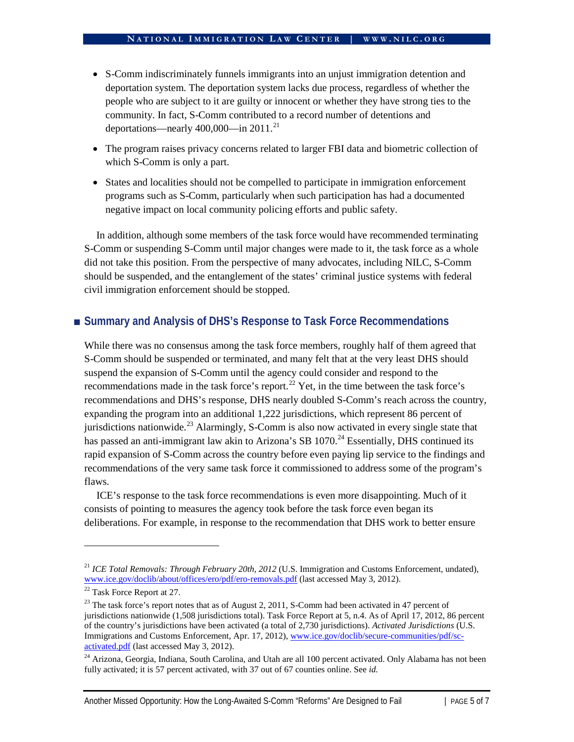- S-Comm indiscriminately funnels immigrants into an unjust immigration detention and deportation system. The deportation system lacks due process, regardless of whether the people who are subject to it are guilty or innocent or whether they have strong ties to the community. In fact, S-Comm contributed to a record number of detentions and deportations—nearly  $400,000$ —in  $2011.<sup>21</sup>$  $2011.<sup>21</sup>$  $2011.<sup>21</sup>$
- The program raises privacy concerns related to larger FBI data and biometric collection of which S-Comm is only a part.
- States and localities should not be compelled to participate in immigration enforcement programs such as S-Comm, particularly when such participation has had a documented negative impact on local community policing efforts and public safety.

In addition, although some members of the task force would have recommended terminating S-Comm or suspending S-Comm until major changes were made to it, the task force as a whole did not take this position. From the perspective of many advocates, including NILC, S-Comm should be suspended, and the entanglement of the states' criminal justice systems with federal civil immigration enforcement should be stopped.

# **■ Summary and Analysis of DHS's Response to Task Force Recommendations**

While there was no consensus among the task force members, roughly half of them agreed that S-Comm should be suspended or terminated, and many felt that at the very least DHS should suspend the expansion of S-Comm until the agency could consider and respond to the recommendations made in the task force's report.<sup>[22](#page-4-1)</sup> Yet, in the time between the task force's recommendations and DHS's response, DHS nearly doubled S-Comm's reach across the country, expanding the program into an additional 1,222 jurisdictions, which represent 86 percent of jurisdictions nationwide.<sup>[23](#page-4-2)</sup> Alarmingly, S-Comm is also now activated in every single state that has passed an anti-immigrant law akin to Arizona's SB 1070.<sup>[24](#page-4-3)</sup> Essentially, DHS continued its rapid expansion of S-Comm across the country before even paying lip service to the findings and recommendations of the very same task force it commissioned to address some of the program's flaws.

ICE's response to the task force recommendations is even more disappointing. Much of it consists of pointing to measures the agency took before the task force even began its deliberations. For example, in response to the recommendation that DHS work to better ensure

 $\overline{a}$ 

<span id="page-4-0"></span><sup>&</sup>lt;sup>21</sup> *ICE Total Removals: Through February 20th, 2012* (U.S. Immigration and Customs Enforcement, undated), [www.ice.gov/doclib/about/offices/ero/pdf/ero-removals.pdf](http://www.ice.gov/doclib/about/offices/ero/pdf/ero-removals.pdf) (last accessed May 3, 2012).

<span id="page-4-1"></span><sup>&</sup>lt;sup>22</sup> Task Force Report at 27.

<span id="page-4-2"></span><sup>&</sup>lt;sup>23</sup> The task force's report notes that as of August 2, 2011, S-Comm had been activated in 47 percent of jurisdictions nationwide (1,508 jurisdictions total). Task Force Report at 5, n.4. As of April 17, 2012, 86 percent of the country's jurisdictions have been activated (a total of 2,730 jurisdictions). *Activated Jurisdictions* (U.S. Immigrations and Customs Enforcement, Apr. 17, 2012), [www.ice.gov/doclib/secure-communities/pdf/sc](http://www.ice.gov/doclib/secure-communities/pdf/sc-activated.pdf)[activated.pdf](http://www.ice.gov/doclib/secure-communities/pdf/sc-activated.pdf) (last accessed May 3, 2012).

<span id="page-4-3"></span><sup>&</sup>lt;sup>24</sup> Arizona, Georgia, Indiana, South Carolina, and Utah are all 100 percent activated. Only Alabama has not been fully activated; it is 57 percent activated, with 37 out of 67 counties online. See *id.*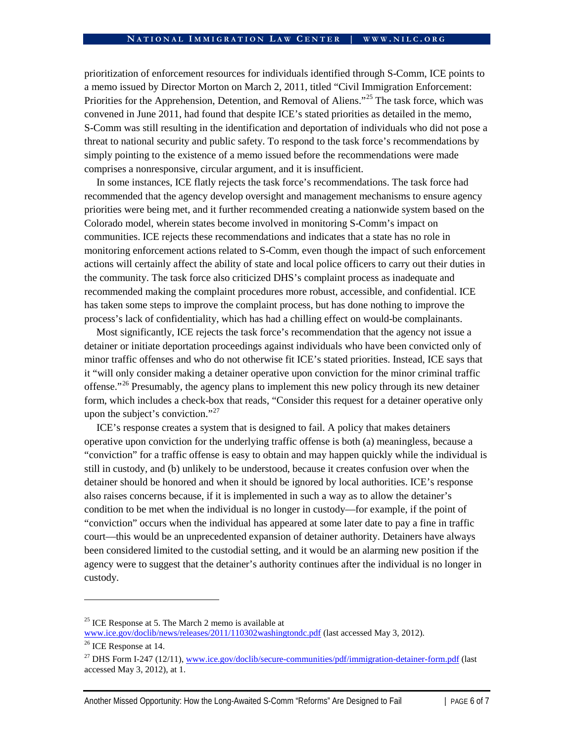prioritization of enforcement resources for individuals identified through S-Comm, ICE points to a memo issued by Director Morton on March 2, 2011, titled "Civil Immigration Enforcement: Priorities for the Apprehension, Detention, and Removal of Aliens."<sup>[25](#page-5-0)</sup> The task force, which was convened in June 2011, had found that despite ICE's stated priorities as detailed in the memo, S-Comm was still resulting in the identification and deportation of individuals who did not pose a threat to national security and public safety. To respond to the task force's recommendations by simply pointing to the existence of a memo issued before the recommendations were made comprises a nonresponsive, circular argument, and it is insufficient.

In some instances, ICE flatly rejects the task force's recommendations. The task force had recommended that the agency develop oversight and management mechanisms to ensure agency priorities were being met, and it further recommended creating a nationwide system based on the Colorado model, wherein states become involved in monitoring S-Comm's impact on communities. ICE rejects these recommendations and indicates that a state has no role in monitoring enforcement actions related to S-Comm, even though the impact of such enforcement actions will certainly affect the ability of state and local police officers to carry out their duties in the community. The task force also criticized DHS's complaint process as inadequate and recommended making the complaint procedures more robust, accessible, and confidential. ICE has taken some steps to improve the complaint process, but has done nothing to improve the process's lack of confidentiality, which has had a chilling effect on would-be complainants.

Most significantly, ICE rejects the task force's recommendation that the agency not issue a detainer or initiate deportation proceedings against individuals who have been convicted only of minor traffic offenses and who do not otherwise fit ICE's stated priorities. Instead, ICE says that it "will only consider making a detainer operative upon conviction for the minor criminal traffic offense."<sup>[26](#page-5-1)</sup> Presumably, the agency plans to implement this new policy through its new detainer form, which includes a check-box that reads, "Consider this request for a detainer operative only upon the subject's conviction."<sup>[27](#page-5-2)</sup>

ICE's response creates a system that is designed to fail. A policy that makes detainers operative upon conviction for the underlying traffic offense is both (a) meaningless, because a "conviction" for a traffic offense is easy to obtain and may happen quickly while the individual is still in custody, and (b) unlikely to be understood, because it creates confusion over when the detainer should be honored and when it should be ignored by local authorities. ICE's response also raises concerns because, if it is implemented in such a way as to allow the detainer's condition to be met when the individual is no longer in custody—for example, if the point of "conviction" occurs when the individual has appeared at some later date to pay a fine in traffic court—this would be an unprecedented expansion of detainer authority. Detainers have always been considered limited to the custodial setting, and it would be an alarming new position if the agency were to suggest that the detainer's authority continues after the individual is no longer in custody.

 $\overline{a}$ 

<span id="page-5-0"></span> $25$  ICE Response at 5. The March 2 memo is available at

[www.ice.gov/doclib/news/releases/2011/110302washingtondc.pdf](http://www.ice.gov/doclib/news/releases/2011/110302washingtondc.pdf) (last accessed May 3, 2012). <sup>26</sup> ICE Response at 14.

<span id="page-5-2"></span><span id="page-5-1"></span><sup>&</sup>lt;sup>27</sup> DHS Form I-247 (12/11)[, www.ice.gov/doclib/secure-communities/pdf/immigration-detainer-form.pdf](http://www.ice.gov/doclib/secure-communities/pdf/immigration-detainer-form.pdf) (last accessed May 3, 2012), at 1.